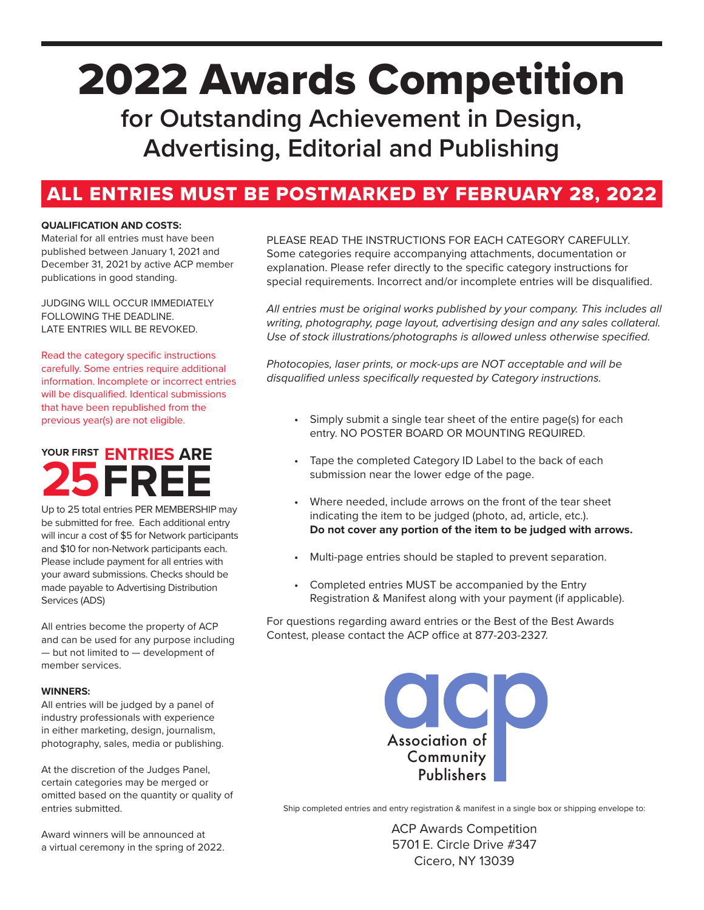# 2022 Awards Competition

**for Outstanding Achievement in Design, Advertising, Editorial and Publishing**

## ALL ENTRIES MUST BE POSTMARKED BY FEBRUARY 28, 2022

## **QUALIFICATION AND COSTS:**

Material for all entries must have been published between January 1, 2021 and December 31, 2021 by active ACP member publications in good standing.

JUDGING WILL OCCUR IMMEDIATELY FOLLOWING THE DEADLINE. LATE ENTRIES WILL BE REVOKED.

Read the category specific instructions carefully. Some entries require additional information. Incomplete or incorrect entries will be disqualified. Identical submissions that have been republished from the previous year(s) are not eligible.

## **25 ENTRIES ARE YOUR FIRST FREE**

Up to 25 total entries PER MEMBERSHIP may be submitted for free. Each additional entry will incur a cost of \$5 for Network participants and \$10 for non-Network participants each. Please include payment for all entries with your award submissions. Checks should be made payable to Advertising Distribution Services (ADS)

All entries become the property of ACP and can be used for any purpose including — but not limited to — development of member services.

## **WINNERS:**

All entries will be judged by a panel of industry professionals with experience in either marketing, design, journalism, photography, sales, media or publishing.

At the discretion of the Judges Panel, certain categories may be merged or omitted based on the quantity or quality of entries submitted.

Award winners will be announced at a virtual ceremony in the spring of 2022.

## PLEASE READ THE INSTRUCTIONS FOR EACH CATEGORY CAREFULLY. Some categories require accompanying attachments, documentation or

explanation. Please refer directly to the specific category instructions for special requirements. Incorrect and/or incomplete entries will be disqualified.

*All entries must be original works published by your company. This includes all writing, photography, page layout, advertising design and any sales collateral. Use of stock illustrations/photographs is allowed unless otherwise specified.*

*Photocopies, laser prints, or mock-ups are NOT acceptable and will be disqualified unless specifically requested by Category instructions.*

- Simply submit a single tear sheet of the entire page(s) for each entry. NO POSTER BOARD OR MOUNTING REQUIRED.
- Tape the completed Category ID Label to the back of each submission near the lower edge of the page.
- Where needed, include arrows on the front of the tear sheet indicating the item to be judged (photo, ad, article, etc.). **Do not cover any portion of the item to be judged with arrows.**
- Multi-page entries should be stapled to prevent separation.
- Completed entries MUST be accompanied by the Entry Registration & Manifest along with your payment (if applicable).

For questions regarding award entries or the Best of the Best Awards Contest, please contact the ACP office at 877-203-2327.



Ship completed entries and entry registration & manifest in a single box or shipping envelope to:

ACP Awards Competition 5701 E. Circle Drive #347 Cicero, NY 13039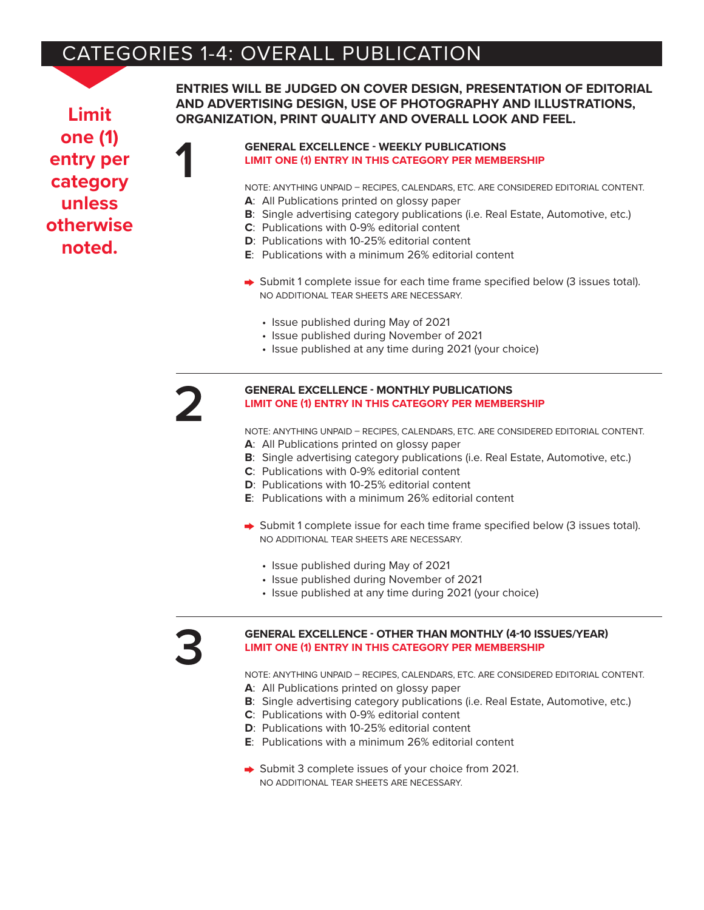# CATEGORIES 1-4: OVERALL PUBLICATION

**Limit one (1) entry per category unless otherwise noted.**

**ENTRIES WILL BE JUDGED ON COVER DESIGN, PRESENTATION OF EDITORIAL AND ADVERTISING DESIGN, USE OF PHOTOGRAPHY AND ILLUSTRATIONS, ORGANIZATION, PRINT QUALITY AND OVERALL LOOK AND FEEL.**

## **GENERAL EXCELLENCE - WEEKLY PUBLICATIONS LIMIT ONE (1) ENTRY IN THIS CATEGORY PER MEMBERSHIP**

NOTE: ANYTHING UNPAID – RECIPES, CALENDARS, ETC. ARE CONSIDERED EDITORIAL CONTENT. **A**: All Publications printed on glossy paper

- **B**: Single advertising category publications (i.e. Real Estate, Automotive, etc.)
- **C**: Publications with 0-9% editorial content
- **D**: Publications with 10-25% editorial content
- **E**: Publications with a minimum 26% editorial content
- $\rightarrow$  Submit 1 complete issue for each time frame specified below (3 issues total). NO ADDITIONAL TEAR SHEETS ARE NECESSARY.
	- Issue published during May of 2021
	- Issue published during November of 2021
	- Issue published at any time during 2021 (your choice)

**1**

## **2 GENERAL EXCELLENCE - MONTHLY PUBLICATIONS LIMIT ONE (1) ENTRY IN THIS CATEGORY PER MEMBERSHIP**

NOTE: ANYTHING UNPAID – RECIPES, CALENDARS, ETC. ARE CONSIDERED EDITORIAL CONTENT.

- **A**: All Publications printed on glossy paper
- **B**: Single advertising category publications (i.e. Real Estate, Automotive, etc.)
- **C**: Publications with 0-9% editorial content
- **D**: Publications with 10-25% editorial content
- **E**: Publications with a minimum 26% editorial content
- ◆ Submit 1 complete issue for each time frame specified below (3 issues total). NO ADDITIONAL TEAR SHEETS ARE NECESSARY.
	- Issue published during May of 2021
	- Issue published during November of 2021
	- Issue published at any time during 2021 (your choice)

## **3 GENERAL EXCELLENCE - OTHER THAN MONTHLY (4-10 ISSUES/YEAR) LIMIT ONE (1) ENTRY IN THIS CATEGORY PER MEMBERSHIP**

NOTE: ANYTHING UNPAID – RECIPES, CALENDARS, ETC. ARE CONSIDERED EDITORIAL CONTENT.

- **A**: All Publications printed on glossy paper
- **B**: Single advertising category publications (i.e. Real Estate, Automotive, etc.)
- **C**: Publications with 0-9% editorial content
- **D**: Publications with 10-25% editorial content
- **E**: Publications with a minimum 26% editorial content
- Submit 3 complete issues of your choice from 2021. NO ADDITIONAL TEAR SHEETS ARE NECESSARY.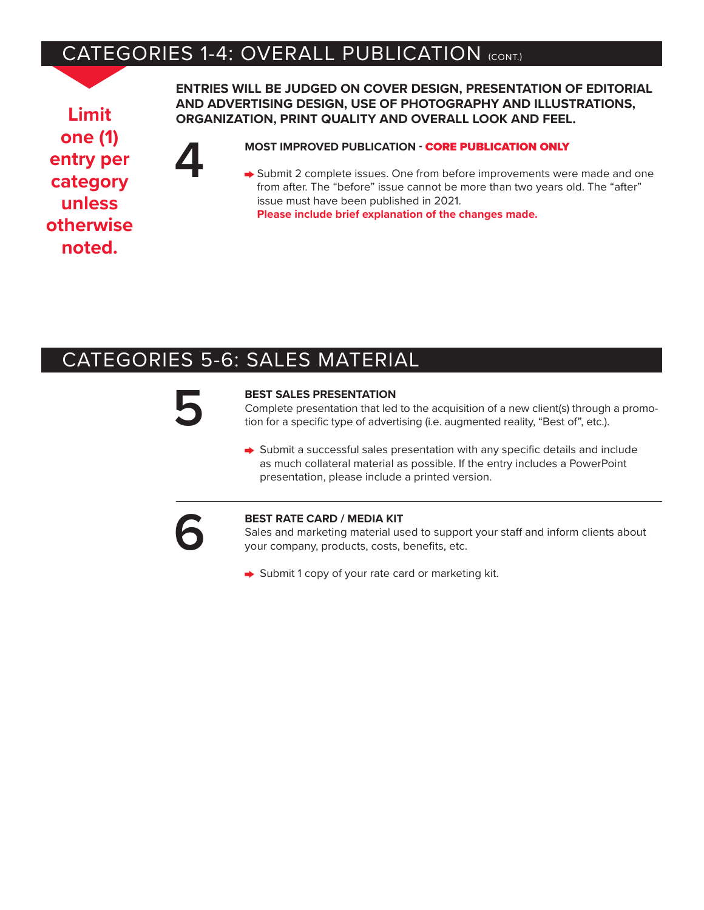# CATEGORIES 1-4: OVERALL PUBLICATION (CONT.)

**Limit one (1) entry per category unless otherwise noted.**

**ENTRIES WILL BE JUDGED ON COVER DESIGN, PRESENTATION OF EDITORIAL AND ADVERTISING DESIGN, USE OF PHOTOGRAPHY AND ILLUSTRATIONS, ORGANIZATION, PRINT QUALITY AND OVERALL LOOK AND FEEL.**

**44 MOST IMPROVED PUBLICATION - CORE PUBLICATION ONLY**<br>  $\rightarrow$  Submit 2 complete issues. One from before improvements were from after. The "before" issue cannot be more than two years of Submit 2 complete issues. One from before improvements were made and one from after. The "before" issue cannot be more than two years old. The "after" issue must have been published in 2021. **Please include brief explanation of the changes made.**

## CATEGORIES 5-6: SALES MATERIAL

**52 BEST SALES PRESENTATION**<br>Complete presentation that led<br>tion for a specific type of adver Complete presentation that led to the acquisition of a new client(s) through a promotion for a specific type of advertising (i.e. augmented reality, "Best of", etc.).

> $\rightarrow$  Submit a successful sales presentation with any specific details and include as much collateral material as possible. If the entry includes a PowerPoint presentation, please include a printed version.



**6 BEST RATE CARD / MEDIA KIT**<br>Sales and marketing material us<br>your company, products, costs, Sales and marketing material used to support your staff and inform clients about your company, products, costs, benefits, etc.

Submit 1 copy of your rate card or marketing kit.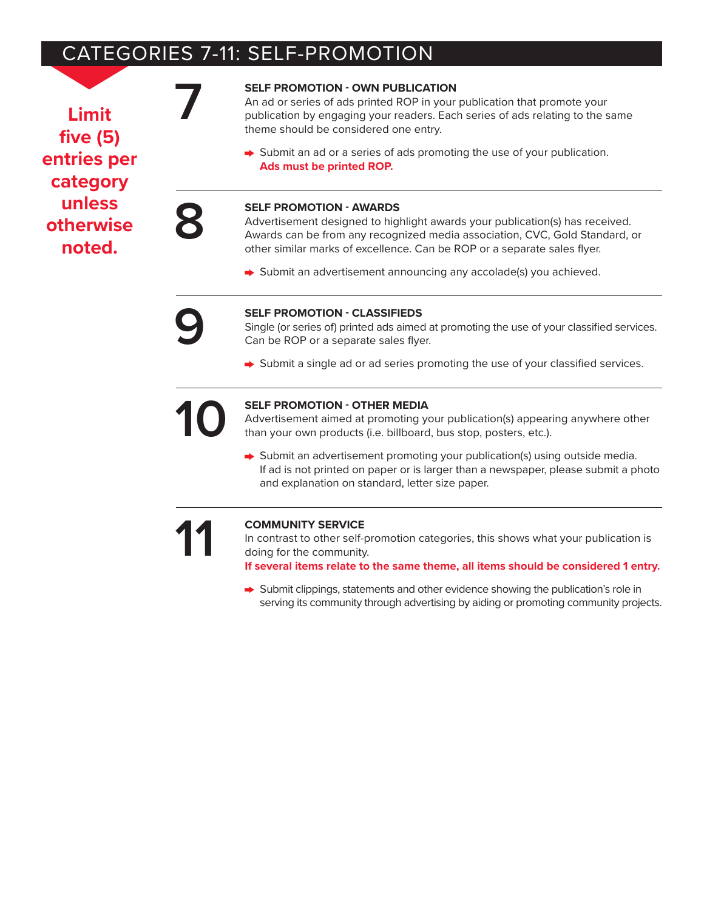# CATEGORIES 7-11: SELF-PROMOTION

**Limit five (5) entries per category unless otherwise noted.**

**7 SELF PROMOTION - OWN PUBLICATION**<br>An ad or series of ads printed ROP in your<br>publication by engaging your readers. Each<br>theme should be considered one entry. An ad or series of ads printed ROP in your publication that promote your publication by engaging your readers. Each series of ads relating to the same theme should be considered one entry.

> Submit an ad or a series of ads promoting the use of your publication. **Ads must be printed ROP.**

**SELF PROMOTION - AWARDS**<br>Advertisement designed to hig<br>Awards can be from any recognother similar marks of excellence Advertisement designed to highlight awards your publication(s) has received. Awards can be from any recognized media association, CVC, Gold Standard, or other similar marks of excellence. Can be ROP or a separate sales flyer.

Submit an advertisement announcing any accolade(s) you achieved.

**99 SELF PROMOTION - CLASSIFIEDS**<br>Single (or series of) printed ads aimed<br>Can be ROP or a separate sales flye Single (or series of) printed ads aimed at promoting the use of your classified services. Can be ROP or a separate sales flyer.

→ Submit a single ad or ad series promoting the use of your classified services.

**10 SELF PROMOTION - OTHER MEDIA**<br>Advertisement aimed at promoting y<br>than your own products (i.e. billboard Advertisement aimed at promoting your publication(s) appearing anywhere other than your own products (i.e. billboard, bus stop, posters, etc.).

Submit an advertisement promoting your publication(s) using outside media. If ad is not printed on paper or is larger than a newspaper, please submit a photo and explanation on standard, letter size paper.

**11 11 COMMUNITY SERVICE**<br>
In contrast to other self-<br>
doing for the community<br> **16 if several items relate to** In contrast to other self-promotion categories, this shows what your publication is doing for the community.

**If several items relate to the same theme, all items should be considered 1 entry.**

 $\rightarrow$  Submit clippings, statements and other evidence showing the publication's role in serving its community through advertising by aiding or promoting community projects.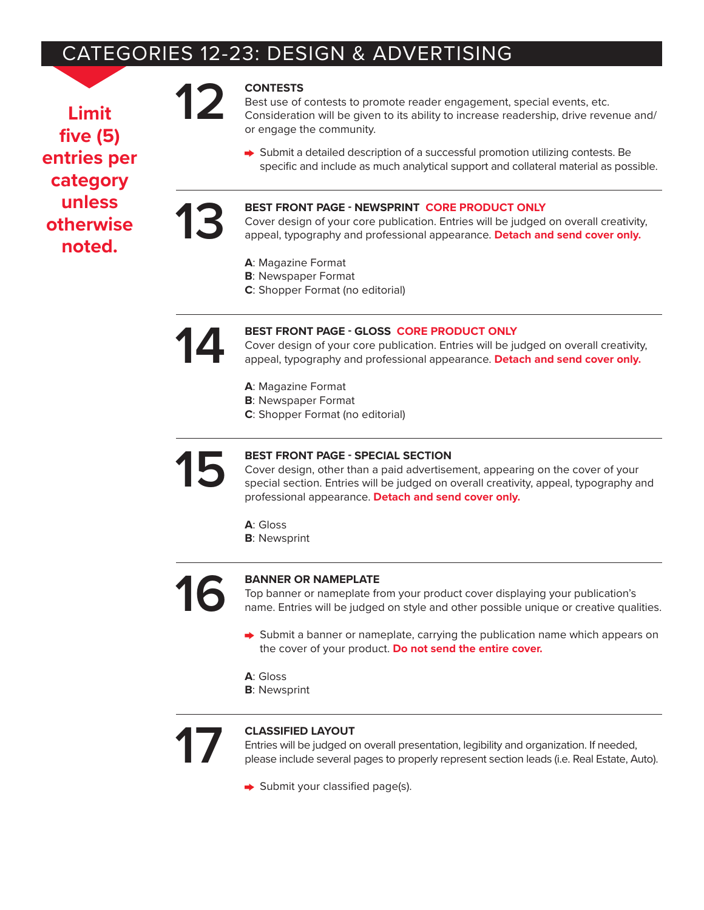# CATEGORIES 12-23: DESIGN & ADVERTISING

**Limit five (5) entries per category unless otherwise noted.**

**12 CONTESTS**<br> **Best use of**<br> **Consideration**<br> **Consideration** Best use of contests to promote reader engagement, special events, etc. Consideration will be given to its ability to increase readership, drive revenue and/ or engage the community.

> ◆ Submit a detailed description of a successful promotion utilizing contests. Be specific and include as much analytical support and collateral material as possible.

**13 BEST FRONT PAGE - NEWSPRINT CORE PRODUCT ONLY**<br>Cover design of your core publication. Entries will be judged<br>appeal, typography and professional appearance. Detach an Cover design of your core publication. Entries will be judged on overall creativity, appeal, typography and professional appearance. **Detach and send cover only.**

- **A**: Magazine Format
- **B**: Newspaper Format
- **C**: Shopper Format (no editorial)

**1444 BEST FRONT PAGE - GLOSS CORE PRODUCT ONLY**<br>Cover design of your core publication. Entries will be ju<br>appeal, typography and professional appearance. Deta Cover design of your core publication. Entries will be judged on overall creativity, appeal, typography and professional appearance. **Detach and send cover only.**

- **A**: Magazine Format
- **B**: Newspaper Format
- **C**: Shopper Format (no editorial)

## **15 BEST FRONT PAGE - SPECIAL SECTION**

Cover design, other than a paid advertisement, appearing on the cover of your special section. Entries will be judged on overall creativity, appeal, typography and professional appearance. **Detach and send cover only.**

- **A**: Gloss
- **B**: Newsprint
- 

**16 BANNER OR NAMEPLATE**<br>Top banner or nameplate free name. Entries will be judged Top banner or nameplate from your product cover displaying your publication's name. Entries will be judged on style and other possible unique or creative qualities.

- $\rightarrow$  Submit a banner or nameplate, carrying the publication name which appears on the cover of your product. **Do not send the entire cover.**
- **A**: Gloss
- **B**: Newsprint

**17 CLASSIFIED LAYOUT**<br>
Entries will be judged on<br>
please include several Entries will be judged on overall presentation, legibility and organization. If needed, please include several pages to properly represent section leads (i.e. Real Estate, Auto).

Submit your classified page(s).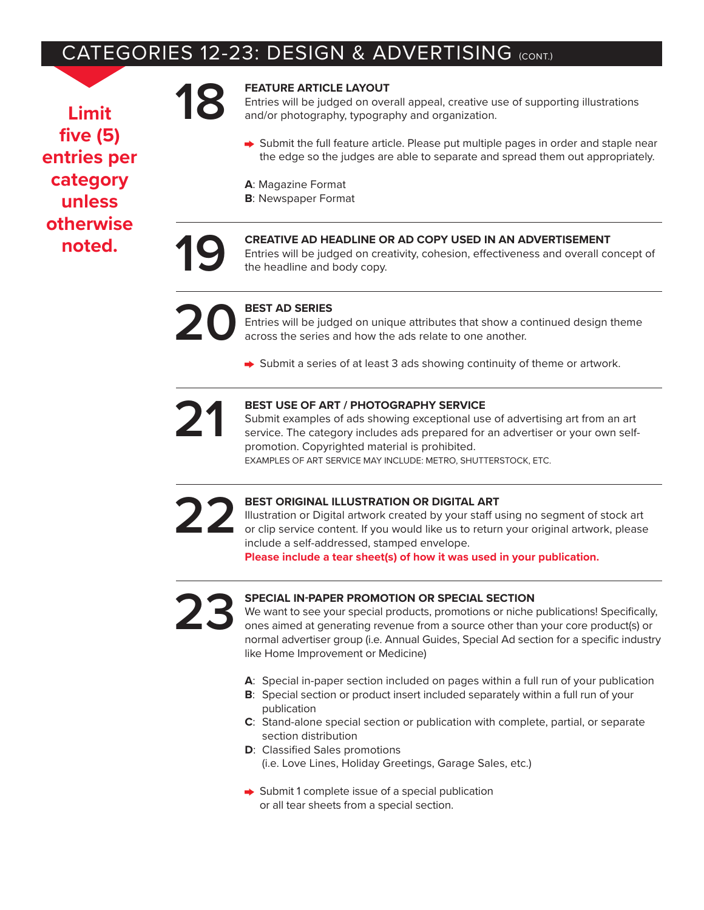# CATEGORIES 12-23: DESIGN & ADVERTISING (CONT.)

**Limit five (5) entries per category unless otherwise noted.**

**18 FEATURE ARTICLE LAYOUT**<br>
Entries will be judged on over<br>
and/or photography, typogra Entries will be judged on overall appeal, creative use of supporting illustrations and/or photography, typography and organization.

- $\rightarrow$  Submit the full feature article. Please put multiple pages in order and staple near the edge so the judges are able to separate and spread them out appropriately.
- **A**: Magazine Format
- **B**: Newspaper Format

## **19 CREATIVE AD HEADLINE OR AD COPY USED IN AN ADVERTISEMENT**

Entries will be judged on creativity, cohesion, effectiveness and overall concept of the headline and body copy.



**20 BEST AD SERIES**<br> **BEST AD SERIES**<br> **BEST AD SERIES**<br> **BEST AD SERIES** Entries will be judged on unique attributes that show a continued design theme across the series and how the ads relate to one another.

 $\rightarrow$  Submit a series of at least 3 ads showing continuity of theme or artwork.

**21 BEST USE OF ART / PHOTOGRAPHY SERVICE** Submit examples of ads showing exceptional use of advertising art from an art service. The category includes ads prepared for an advertiser or your own selfpromotion. Copyrighted material is prohibited.

EXAMPLES OF ART SERVICE MAY INCLUDE: METRO, SHUTTERSTOCK, ETC.

**22 BEST ORIGINAL ILLUSTRATION OR DIGITAL ART**<br>Illustration or Digital artwork created by your staff u<br>or clip service content. If you would like us to return<br>include a self-addressed, stamped envelope. Illustration or Digital artwork created by your staff using no segment of stock art or clip service content. If you would like us to return your original artwork, please include a self-addressed, stamped envelope.

**Please include a tear sheet(s) of how it was used in your publication.**

**23 PECIAL IN-PAPER PROMOTION OR SPECIAL SECTION**<br>We want to see your special products, promotions or niche<br>ones aimed at generating revenue from a source other than<br>normal advertiser group (i.e. Annual Guides, Special Ad We want to see your special products, promotions or niche publications! Specifically, ones aimed at generating revenue from a source other than your core product(s) or normal advertiser group (i.e. Annual Guides, Special Ad section for a specific industry like Home Improvement or Medicine)

- **A**: Special in-paper section included on pages within a full run of your publication
- **B**: Special section or product insert included separately within a full run of your publication
- **C**: Stand-alone special section or publication with complete, partial, or separate section distribution
- **D**: Classified Sales promotions (i.e. Love Lines, Holiday Greetings, Garage Sales, etc.)
- $\rightarrow$  Submit 1 complete issue of a special publication or all tear sheets from a special section.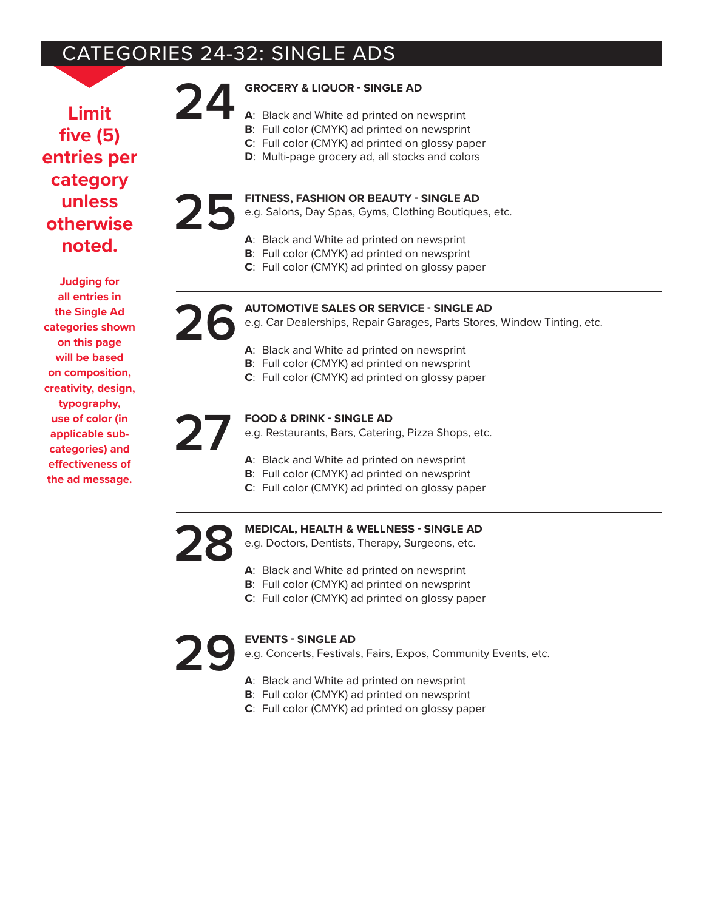# CATEGORIES 24-32: SINGLE ADS

**Limit five (5) entries per category unless otherwise noted.**

**Judging for all entries in the Single Ad categories shown on this page will be based on composition, creativity, design, typography, use of color (in applicable subcategories) and effectiveness of the ad message.**

## **24 GROCERY & LIQUOR - SINGLE AD**

- **A**: Black and White ad printed on newsprint
- **B**: Full color (CMYK) ad printed on newsprint
- **C**: Full color (CMYK) ad printed on glossy paper
- **D**: Multi-page grocery ad, all stocks and colors

# **25** FITNESS, FASHION OR BEAUTY - SINGLE AD<br>e.g. Salons, Day Spas, Gyms, Clothing Boutique<br>A: Black and White ad printed on newsprint

- e.g. Salons, Day Spas, Gyms, Clothing Boutiques, etc.
	- **A**: Black and White ad printed on newsprint
	- **B**: Full color (CMYK) ad printed on newsprint
	- **C**: Full color (CMYK) ad printed on glossy paper

## **26 AUTOMOTIVE SALES OR SERVICE - SINGLE AD**

e.g. Car Dealerships, Repair Garages, Parts Stores, Window Tinting, etc.

- **A**: Black and White ad printed on newsprint
- **B**: Full color (CMYK) ad printed on newsprint
- **C**: Full color (CMYK) ad printed on glossy paper

## **27 FOOD & DRINK - SINGLE AD**

- e.g. Restaurants, Bars, Catering, Pizza Shops, etc.
- **A**: Black and White ad printed on newsprint
- **B**: Full color (CMYK) ad printed on newsprint
- **C**: Full color (CMYK) ad printed on glossy paper

# **28 MEDICAL, HEALTH & WELLNESS - SINGLE AD**<br>e.g. Doctors, Dentists, Therapy, Surgeons, etc.<br>A: Black and White ad printed on newsprint

- e.g. Doctors, Dentists, Therapy, Surgeons, etc.
- **A**: Black and White ad printed on newsprint
- **B**: Full color (CMYK) ad printed on newsprint
- **C**: Full color (CMYK) ad printed on glossy paper

**29 EVENTS - SINGLE AD**<br>**29.** Concerts, Festival<br>**4:** Black and White ad

e.g. Concerts, Festivals, Fairs, Expos, Community Events, etc.

- **A**: Black and White ad printed on newsprint
- **B**: Full color (CMYK) ad printed on newsprint
- **C**: Full color (CMYK) ad printed on glossy paper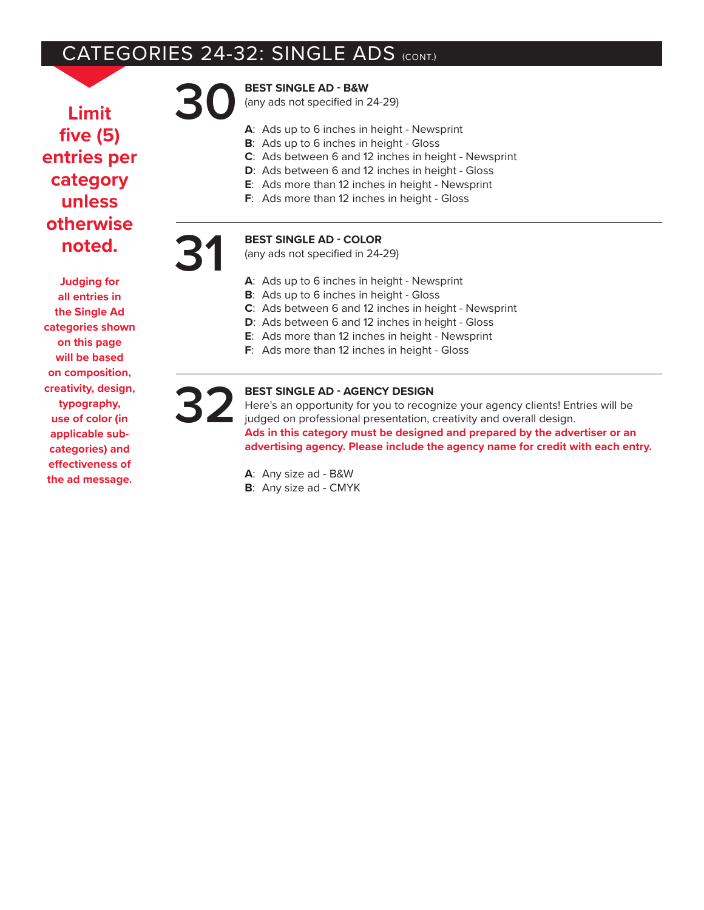# CATEGORIES 24-32: SINGLE ADS (CONT.)

**Limit five (5) entries per category unless otherwise noted.**

**Judging for all entries in the Single Ad categories shown on this page will be based on composition, creativity, design, typography, use of color (in applicable subcategories) and effectiveness of the ad message.**

## **30 BEST SINGLE AD - B&W**

(any ads not specified in 24-29)

- **A**: Ads up to 6 inches in height Newsprint
- **B**: Ads up to 6 inches in height Gloss
- **C**: Ads between 6 and 12 inches in height Newsprint
- **D**: Ads between 6 and 12 inches in height Gloss
- **E**: Ads more than 12 inches in height Newsprint
- **F**: Ads more than 12 inches in height Gloss

## **31 BEST SINGLE AD - COLOR**

(any ads not specified in 24-29)

- **A**: Ads up to 6 inches in height Newsprint
- **B**: Ads up to 6 inches in height Gloss
- **C**: Ads between 6 and 12 inches in height Newsprint
- **D**: Ads between 6 and 12 inches in height Gloss
- **E**: Ads more than 12 inches in height Newsprint
- **F**: Ads more than 12 inches in height Gloss

**32 BEST SINGLE AD - AGENCY DESIGN** Here's an opportunity for you to recognize your agency clients! Entries will be judged on professional presentation, creativity and overall design. **Ads in this category must be designed and prepared by the advertiser or an advertising agency. Please include the agency name for credit with each entry.**

> **A**: Any size ad - B&W **B**: Any size ad - CMYK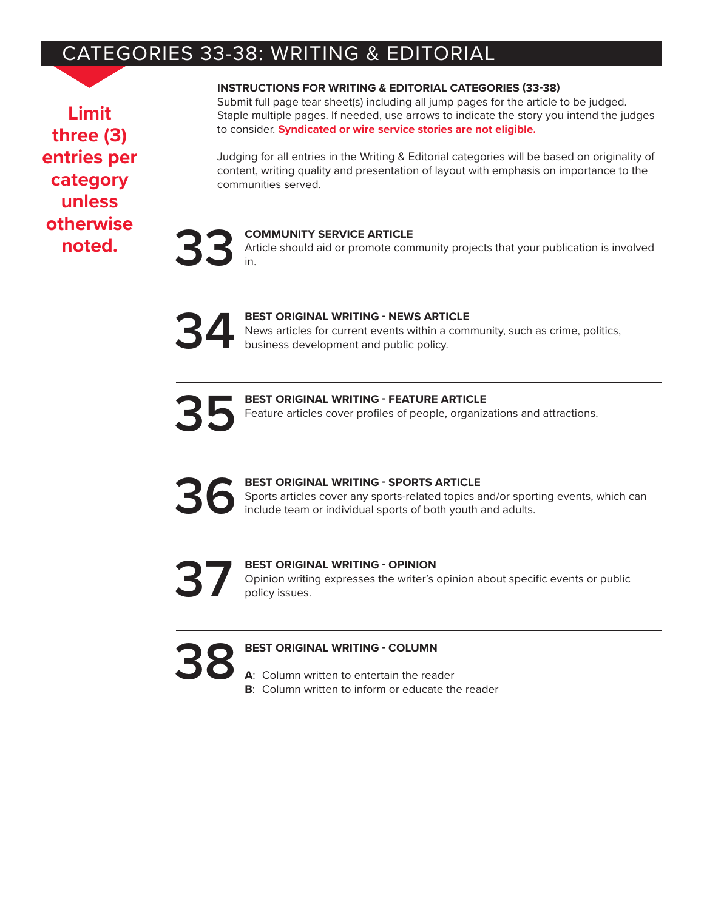# CATEGORIES 33-38: WRITING & EDITORIAL

**Limit three (3) entries per category unless otherwise noted.**

## **INSTRUCTIONS FOR WRITING & EDITORIAL CATEGORIES (33-38)**

Submit full page tear sheet(s) including all jump pages for the article to be judged. Staple multiple pages. If needed, use arrows to indicate the story you intend the judges to consider. **Syndicated or wire service stories are not eligible.**

Judging for all entries in the Writing & Editorial categories will be based on originality of content, writing quality and presentation of layout with emphasis on importance to the communities served.

**33 COMMUNITY SERVICE ARTICLE**<br>
in. Article should aid or promote community projects that your publication is involved in.



| BEST ORIGINAL WRITING - FEATURE ARTICLE<br>Feature articles cover profiles of people, organizations and attractions. |
|----------------------------------------------------------------------------------------------------------------------|
|                                                                                                                      |

**366 BEST ORIGINAL WRITING - SPORTS ARTICLE**<br>Sports articles cover any sports-related topics a<br>include team or individual sports of both youth Sports articles cover any sports-related topics and/or sporting events, which can include team or individual sports of both youth and adults.

**37 BEST ORIGINAL WRITING - OPINION** Opinion writing expresses the writer's policy issues. Opinion writing expresses the writer's opinion about specific events or public policy issues.

# **38 BEST ORIGINAL WRITING - COLUMN**<br>**A:** Column written to entertain the rea

- **A**: Column written to entertain the reader
- **B**: Column written to inform or educate the reader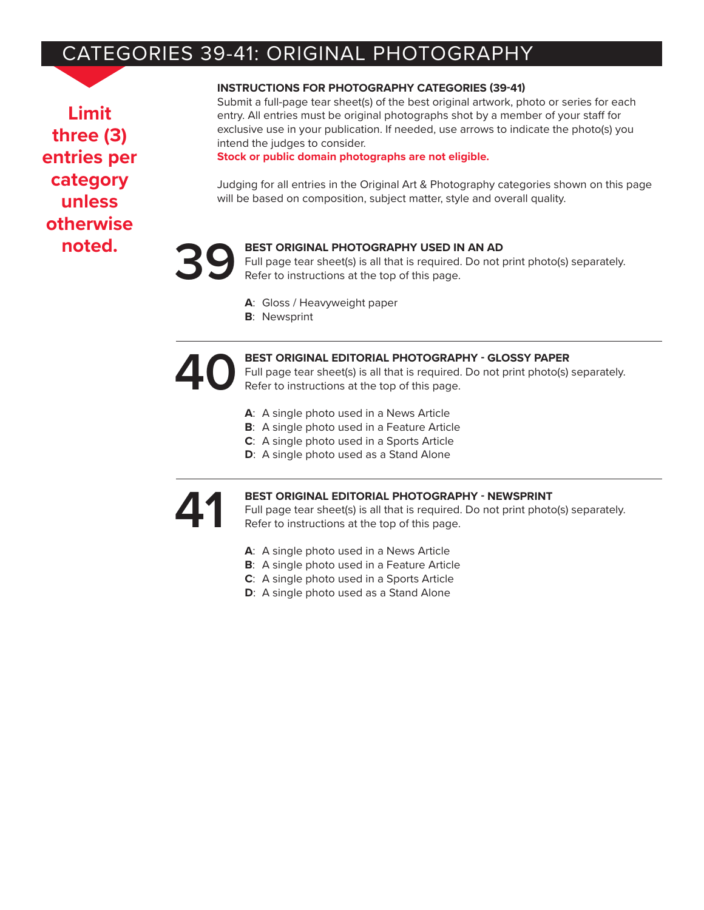# CATEGORIES 39-41: ORIGINAL PHOTOGRAPHY

**Limit three (3) entries per category unless otherwise noted.**

## **INSTRUCTIONS FOR PHOTOGRAPHY CATEGORIES (39-41)**

Submit a full-page tear sheet(s) of the best original artwork, photo or series for each entry. All entries must be original photographs shot by a member of your staff for exclusive use in your publication. If needed, use arrows to indicate the photo(s) you intend the judges to consider.

**Stock or public domain photographs are not eligible.**

Judging for all entries in the Original Art & Photography categories shown on this page will be based on composition, subject matter, style and overall quality.

## **39 BEST ORIGINAL PHOTOGRAPHY USED IN AN AD**

Full page tear sheet(s) is all that is required. Do not print photo(s) separately. Refer to instructions at the top of this page.

- **A**: Gloss / Heavyweight paper
- **B**: Newsprint

**400 BEST ORIGINAL EDITORIAL PHOTOGRAPHY - GLOSSY PAPER**<br>Full page tear sheet(s) is all that is required. Do not print photo(s)<br>Refer to instructions at the top of this page. Full page tear sheet(s) is all that is required. Do not print photo(s) separately. Refer to instructions at the top of this page.

- **A**: A single photo used in a News Article
- **B**: A single photo used in a Feature Article
- **C**: A single photo used in a Sports Article
- **D**: A single photo used as a Stand Alone

**41 BEST ORIGINAL EDITORIAL PHOTOGRAPHY - NEWSPRINT**<br>Full page tear sheet(s) is all that is required. Do not print photo<br>Refer to instructions at the top of this page. Full page tear sheet(s) is all that is required. Do not print photo(s) separately. Refer to instructions at the top of this page.

- **A**: A single photo used in a News Article
- **B**: A single photo used in a Feature Article
- **C**: A single photo used in a Sports Article
- **D**: A single photo used as a Stand Alone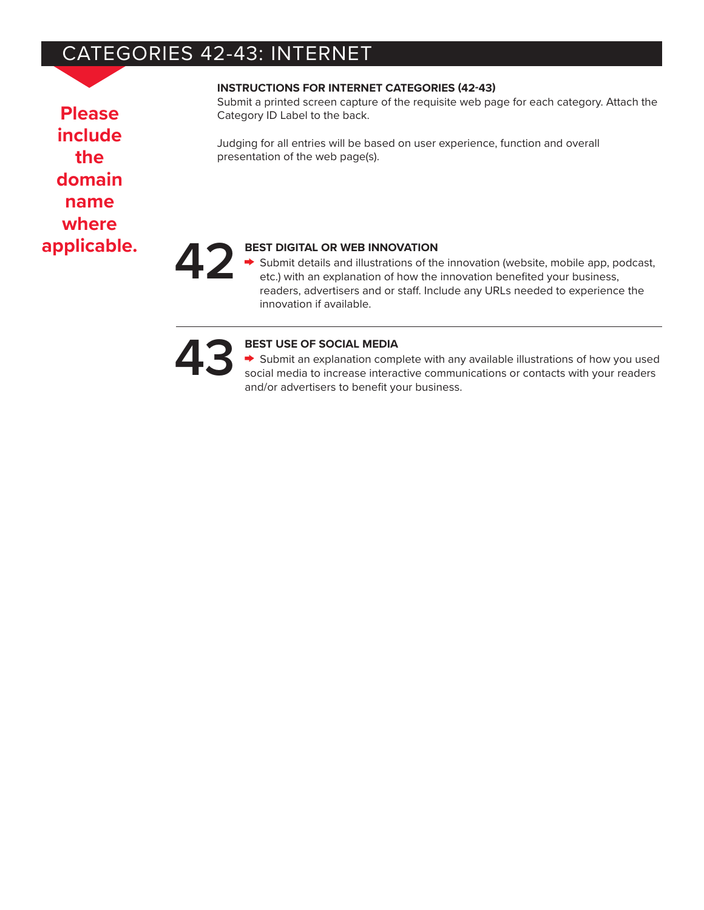# CATEGORIES 42-43: INTERNET

**Please include the domain name where**

## **INSTRUCTIONS FOR INTERNET CATEGORIES (42-43)**

Submit a printed screen capture of the requisite web page for each category. Attach the Category ID Label to the back.

Judging for all entries will be based on user experience, function and overall presentation of the web page(s).

**applicable. 42 BEST DIGITAL OR WEB INNOVATION** Submit details and illustrations of the innovation (website, mobile app, podcast, etc.) with an explanation of how the innovation benefited your business, readers, advertisers and or staff. Include any URLs needed to experience the innovation if available.

**43 13 135 BEST USE OF SOCIAL MEDIA**<br> **43 5** Submit an explanation composition social media to increase interary and/or advertisers to benefit w Submit an explanation complete with any available illustrations of how you used social media to increase interactive communications or contacts with your readers and/or advertisers to benefit your business.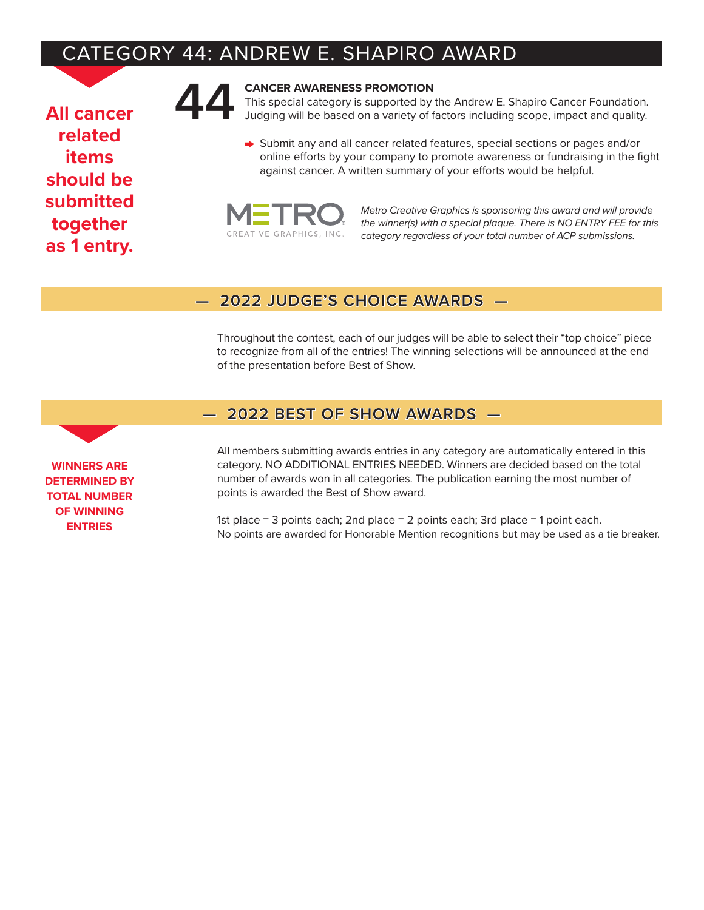# CATEGORY 44: ANDREW E. SHAPIRO AWARD

**All cancer related items should be submitted together as 1 entry.**



**444** CANCER AWARENESS PROMOTION<br>This special category is supported by<br>Judging will be based on a variety of t This special category is supported by the Andrew E. Shapiro Cancer Foundation. Judging will be based on a variety of factors including scope, impact and quality.

> Submit any and all cancer related features, special sections or pages and/or online efforts by your company to promote awareness or fundraising in the fight against cancer. A written summary of your efforts would be helpful.



*Metro Creative Graphics is sponsoring this award and will provide the winner(s) with a special plaque. There is NO ENTRY FEE for this category regardless of your total number of ACP submissions.*

## **— 2022 JUDGE'S CHOICE AWARDS —**

Throughout the contest, each of our judges will be able to select their "top choice" piece to recognize from all of the entries! The winning selections will be announced at the end of the presentation before Best of Show.

## **— 2022 BEST OF SHOW AWARDS —**

All members submitting awards entries in any category are automatically entered in this category. NO ADDITIONAL ENTRIES NEEDED. Winners are decided based on the total number of awards won in all categories. The publication earning the most number of points is awarded the Best of Show award.

1st place = 3 points each; 2nd place = 2 points each; 3rd place = 1 point each. No points are awarded for Honorable Mention recognitions but may be used as a tie breaker.

**WINNERS ARE DETERMINED BY TOTAL NUMBER OF WINNING ENTRIES**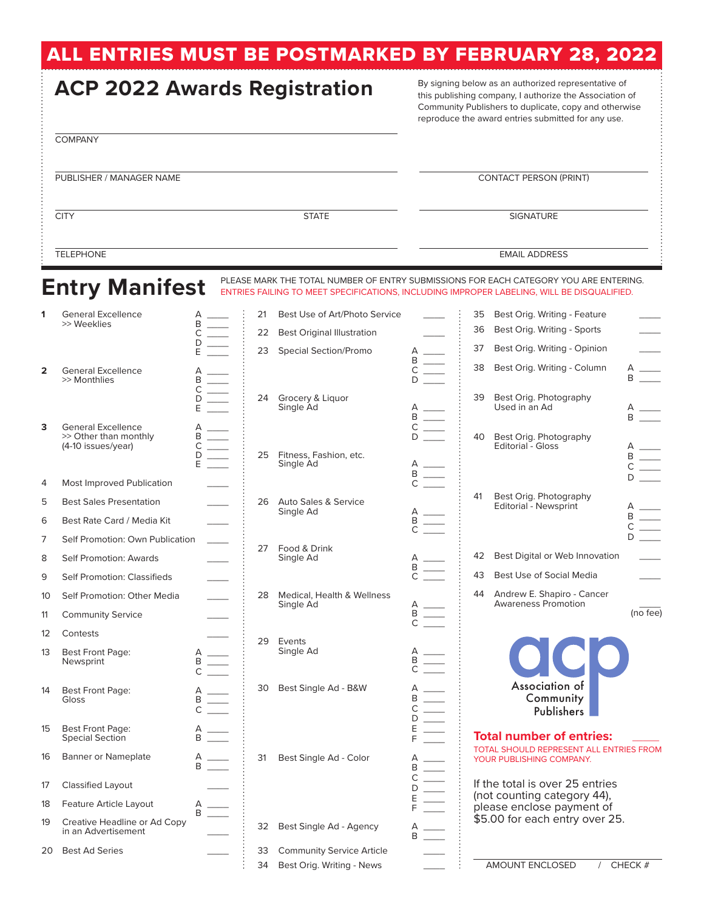# ALL ENTRIES MUST BE POSTMARKED BY FEBRUARY 28, 2022

| <b>ACP 2022 Awards Registration</b> |                                                                                         |                                                        |                | By signing below as an authorized representative of<br>this publishing company, I authorize the Association of<br>Community Publishers to duplicate, copy and otherwise<br>reproduce the award entries submitted for any use. |        |                                                                                              |                |                                                                                                                                                                                     |                                                                       |
|-------------------------------------|-----------------------------------------------------------------------------------------|--------------------------------------------------------|----------------|-------------------------------------------------------------------------------------------------------------------------------------------------------------------------------------------------------------------------------|--------|----------------------------------------------------------------------------------------------|----------------|-------------------------------------------------------------------------------------------------------------------------------------------------------------------------------------|-----------------------------------------------------------------------|
|                                     | <b>COMPANY</b>                                                                          |                                                        |                |                                                                                                                                                                                                                               |        |                                                                                              |                |                                                                                                                                                                                     |                                                                       |
|                                     | PUBLISHER / MANAGER NAME                                                                |                                                        |                |                                                                                                                                                                                                                               |        |                                                                                              |                | <b>CONTACT PERSON (PRINT)</b>                                                                                                                                                       |                                                                       |
|                                     | <b>CITY</b>                                                                             |                                                        |                | <b>STATE</b>                                                                                                                                                                                                                  |        |                                                                                              |                | <b>SIGNATURE</b>                                                                                                                                                                    |                                                                       |
|                                     | <b>TELEPHONE</b>                                                                        |                                                        |                |                                                                                                                                                                                                                               |        |                                                                                              |                | <b>EMAIL ADDRESS</b>                                                                                                                                                                |                                                                       |
|                                     | <b>Entry Manifest</b>                                                                   |                                                        |                |                                                                                                                                                                                                                               |        |                                                                                              |                | PLEASE MARK THE TOTAL NUMBER OF ENTRY SUBMISSIONS FOR EACH CATEGORY YOU ARE ENTERING.<br>ENTRIES FAILING TO MEET SPECIFICATIONS, INCLUDING IMPROPER LABELING, WILL BE DISQUALIFIED. |                                                                       |
| 1                                   | <b>General Excellence</b><br>>> Weeklies                                                | $\begin{array}{c}\nA \\ B \\ C \\ D \\ E\n\end{array}$ | 21<br>22<br>23 | Best Use of Art/Photo Service<br><b>Best Original Illustration</b><br><b>Special Section/Promo</b>                                                                                                                            |        |                                                                                              | 35<br>36<br>37 | Best Orig. Writing - Feature<br>Best Orig. Writing - Sports<br>Best Orig. Writing - Opinion                                                                                         |                                                                       |
| 2                                   | <b>General Excellence</b><br>>> Monthlies                                               | $\begin{array}{c}\nA \\ B \\ C \\ D \\ E\n\end{array}$ | 24             | Grocery & Liguor<br>Single Ad                                                                                                                                                                                                 |        | $\begin{array}{c}\nA \\ B \\ C \\ D\n\end{array}$                                            | 38<br>39       | Best Orig. Writing - Column<br>Best Orig. Photography<br>Used in an Ad                                                                                                              | B                                                                     |
| 3                                   | <b>General Excellence</b><br>>> Other than monthly<br>(4-10 issues/year)                | $\begin{array}{c}\nA \\ B \\ C \\ D \\ E\n\end{array}$ |                | 25 Fitness, Fashion, etc.<br>Single Ad                                                                                                                                                                                        |        | $\begin{array}{c}\nA \\ B \\ C \\ D\n\end{array}$                                            | 40             | Best Orig. Photography<br><b>Editorial - Gloss</b>                                                                                                                                  | A ____<br>B ____<br>$\begin{array}{c}\nA \\ B \\ C \\ D\n\end{array}$ |
| 4<br>5                              | <b>Most Improved Publication</b><br><b>Best Sales Presentation</b>                      |                                                        |                | 26 Auto Sales & Service<br>Single Ad                                                                                                                                                                                          |        | $\begin{array}{c}\nA \\ B \\ C\n\end{array}$                                                 | 41             | Best Orig. Photography<br><b>Editorial - Newsprint</b>                                                                                                                              | $\begin{array}{c}\nA \\ B\n\end{array}$                               |
| 6<br>7<br>8                         | Best Rate Card / Media Kit<br>Self Promotion: Own Publication<br>Self Promotion: Awards |                                                        |                | 27 Food & Drink<br>Single Ad                                                                                                                                                                                                  |        | $\begin{array}{c}\nA \\ B \\ C\n\end{array}$<br>$\begin{array}{c}\nA \\ B \\ C\n\end{array}$ |                | 42 Best Digital or Web Innovation                                                                                                                                                   |                                                                       |
| 9<br>10                             | Self Promotion: Classifieds<br>Self Promotion: Other Media                              |                                                        | 28             | Medical, Health & Wellness<br>Single Ad                                                                                                                                                                                       | A      |                                                                                              | 43<br>44       | <b>Best Use of Social Media</b><br>Andrew E. Shapiro - Cancer<br><b>Awareness Promotion</b>                                                                                         |                                                                       |
| 11                                  | <b>Community Service</b>                                                                |                                                        |                |                                                                                                                                                                                                                               |        | $rac{B}{C}$                                                                                  |                |                                                                                                                                                                                     | (no fee)                                                              |
| 12<br>13                            | Contests<br><b>Best Front Page:</b><br>Newsprint                                        | $\equiv$<br>B                                          |                | 29 Events<br>Single Ad                                                                                                                                                                                                        |        | $\begin{array}{c}\nA \\ B \\ C\n\end{array}$                                                 |                |                                                                                                                                                                                     |                                                                       |
| 14                                  | Best Front Page:<br>Gloss                                                               | $\begin{array}{c}\nA \\ B \\ C\n\end{array}$           | 30             | Best Single Ad - B&W                                                                                                                                                                                                          |        | $\begin{array}{c}\nA \\ B\n\end{array}$                                                      |                | Association of<br>Community<br>Publishers                                                                                                                                           |                                                                       |
| 15                                  | <b>Best Front Page:</b><br><b>Special Section</b>                                       | $\frac{A}{B}$ —                                        |                |                                                                                                                                                                                                                               |        | $\begin{array}{c}\nC \\ D \\ E \\ F\n\end{array}$                                            |                | <b>Total number of entries:</b>                                                                                                                                                     |                                                                       |
| 16                                  | Banner or Nameplate                                                                     | $\frac{A}{B}$ —                                        | 31             | Best Single Ad - Color                                                                                                                                                                                                        |        | $\begin{array}{c}\nA \\ B\n\end{array}$                                                      |                | TOTAL SHOULD REPRESENT ALL ENTRIES FROM<br>YOUR PUBLISHING COMPANY.                                                                                                                 |                                                                       |
| 17                                  | Classified Layout                                                                       |                                                        |                |                                                                                                                                                                                                                               | С<br>D |                                                                                              |                | If the total is over 25 entries                                                                                                                                                     |                                                                       |
| 18                                  | Feature Article Layout                                                                  | B                                                      |                |                                                                                                                                                                                                                               | Ε      |                                                                                              |                | (not counting category 44),<br>please enclose payment of                                                                                                                            |                                                                       |
| 19                                  | Creative Headline or Ad Copy<br>in an Advertisement                                     |                                                        | 32             | Best Single Ad - Agency                                                                                                                                                                                                       |        | $\begin{array}{c}\nA \\ B\n\end{array}$                                                      |                | \$5.00 for each entry over 25.                                                                                                                                                      |                                                                       |
| 20                                  | <b>Best Ad Series</b>                                                                   |                                                        | 33<br>34       | <b>Community Service Article</b><br>Best Orig. Writing - News                                                                                                                                                                 |        |                                                                                              |                | AMOUNT ENCLOSED                                                                                                                                                                     | CHECK #                                                               |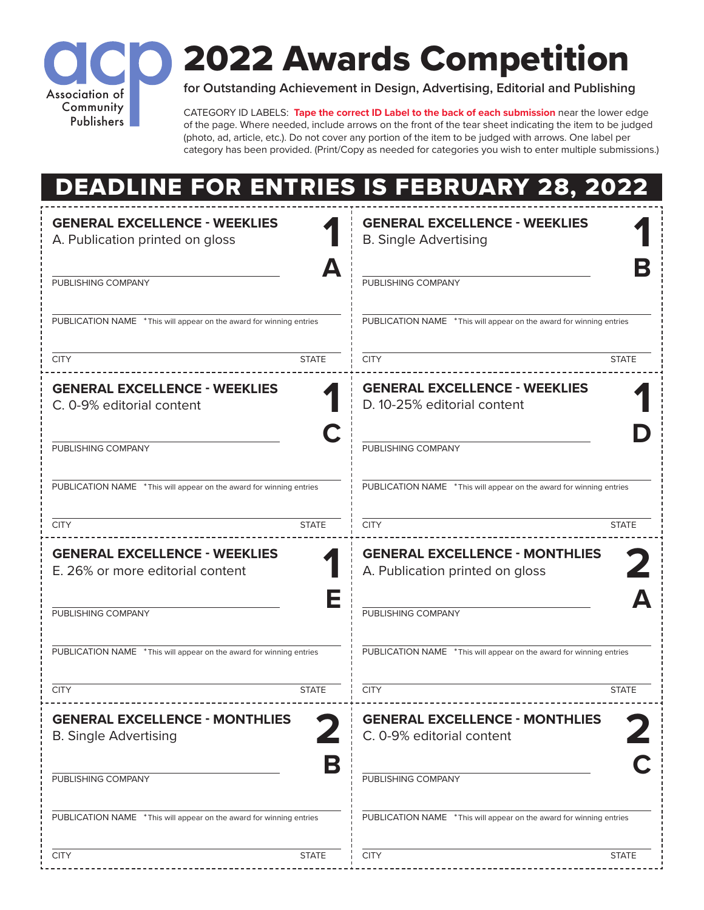

# 2022 Awards Competition

**for Outstanding Achievement in Design, Advertising, Editorial and Publishing**

CATEGORY ID LABELS: **Tape the correct ID Label to the back of each submission** near the lower edge of the page. Where needed, include arrows on the front of the tear sheet indicating the item to be judged (photo, ad, article, etc.). Do not cover any portion of the item to be judged with arrows. One label per category has been provided. (Print/Copy as needed for categories you wish to enter multiple submissions.)

|                                                                          | <b>DEADLINE FOR ENTRIES IS FEBRUARY 28, 2022</b>                         |
|--------------------------------------------------------------------------|--------------------------------------------------------------------------|
| <b>GENERAL EXCELLENCE - WEEKLIES</b><br>A. Publication printed on gloss  | <b>GENERAL EXCELLENCE - WEEKLIES</b><br><b>B. Single Advertising</b>     |
| PUBLISHING COMPANY                                                       | PUBLISHING COMPANY                                                       |
| PUBLICATION NAME * This will appear on the award for winning entries     | PUBLICATION NAME * This will appear on the award for winning entries     |
| <b>CITY</b><br><b>STATE</b>                                              | <b>CITY</b><br><b>STATE</b>                                              |
| <b>GENERAL EXCELLENCE - WEEKLIES</b><br>C. 0-9% editorial content        | <b>GENERAL EXCELLENCE - WEEKLIES</b><br>D. 10-25% editorial content      |
| PUBLISHING COMPANY                                                       | PUBLISHING COMPANY                                                       |
| PUBLICATION NAME * This will appear on the award for winning entries     | PUBLICATION NAME * This will appear on the award for winning entries     |
| <b>CITY</b><br><b>STATE</b>                                              | <b>CITY</b><br><b>STATE</b>                                              |
| <b>GENERAL EXCELLENCE - WEEKLIES</b><br>E. 26% or more editorial content | <b>GENERAL EXCELLENCE - MONTHLIES</b><br>A. Publication printed on gloss |
| PUBLISHING COMPANY                                                       | PUBLISHING COMPANY                                                       |
| PUBLICATION NAME * This will appear on the award for winning entries     | PUBLICATION NAME * This will appear on the award for winning entries     |
| <b>CITY</b><br><b>STATE</b>                                              | <b>CITY</b><br><b>STATE</b>                                              |
| <b>GENERAL EXCELLENCE - MONTHLIES</b><br><b>B. Single Advertising</b>    | <b>GENERAL EXCELLENCE - MONTHLIES</b><br>C. 0-9% editorial content       |
| B<br>PUBLISHING COMPANY                                                  | PUBLISHING COMPANY                                                       |
| PUBLICATION NAME * This will appear on the award for winning entries     | PUBLICATION NAME * This will appear on the award for winning entries     |
| <b>STATE</b><br><b>CITY</b>                                              | <b>CITY</b><br><b>STATE</b>                                              |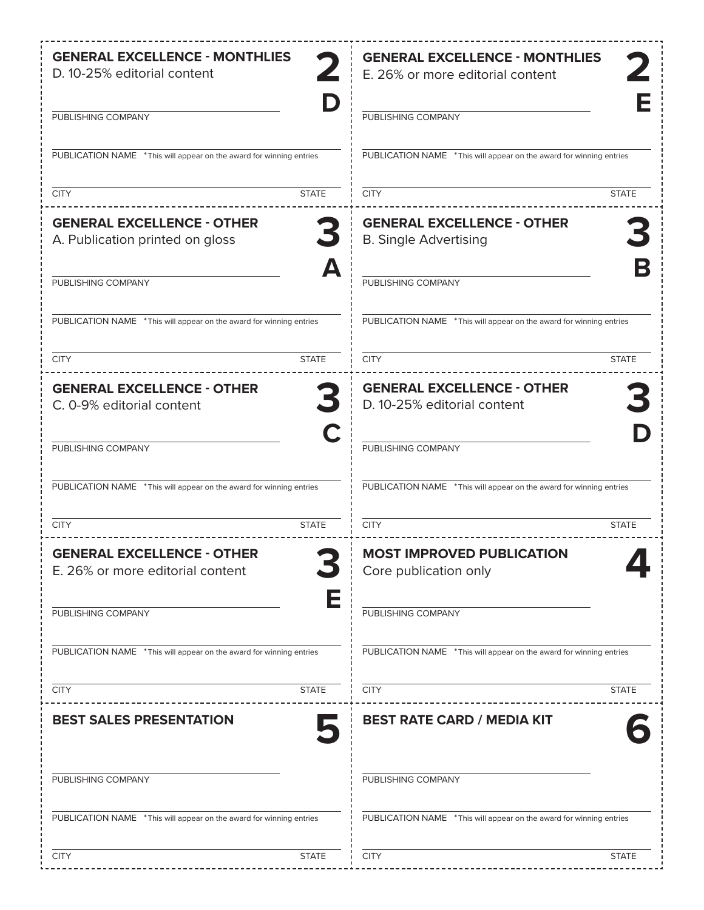| <b>GENERAL EXCELLENCE - MONTHLIES</b><br>D. 10-25% editorial content  | <b>GENERAL EXCELLENCE - MONTHLIES</b><br>E. 26% or more editorial content |
|-----------------------------------------------------------------------|---------------------------------------------------------------------------|
| PUBLISHING COMPANY                                                    | PUBLISHING COMPANY                                                        |
| PUBLICATION NAME * This will appear on the award for winning entries  | PUBLICATION NAME * This will appear on the award for winning entries      |
| <b>STATE</b><br><b>CITY</b>                                           | <b>CITY</b><br><b>STATE</b>                                               |
| <b>GENERAL EXCELLENCE - OTHER</b><br>A. Publication printed on gloss  | <b>GENERAL EXCELLENCE - OTHER</b><br><b>B. Single Advertising</b>         |
| Д<br>PUBLISHING COMPANY                                               | PUBLISHING COMPANY                                                        |
| PUBLICATION NAME * This will appear on the award for winning entries  | PUBLICATION NAME * This will appear on the award for winning entries      |
| <b>CITY</b><br><b>STATE</b>                                           | <b>CITY</b><br><b>STATE</b>                                               |
| <b>GENERAL EXCELLENCE - OTHER</b><br>C. 0-9% editorial content        | <b>GENERAL EXCELLENCE - OTHER</b><br>D. 10-25% editorial content          |
| PUBLISHING COMPANY                                                    | PUBLISHING COMPANY                                                        |
| PUBLICATION NAME * This will appear on the award for winning entries  | PUBLICATION NAME * This will appear on the award for winning entries      |
| <b>CITY</b><br><b>STATE</b>                                           | <b>CITY</b><br><b>STATE</b>                                               |
| <b>GENERAL EXCELLENCE - OTHER</b><br>E. 26% or more editorial content | <b>MOST IMPROVED PUBLICATION</b><br>Core publication only                 |
| E<br>PUBLISHING COMPANY                                               | PUBLISHING COMPANY                                                        |
| PUBLICATION NAME * This will appear on the award for winning entries  | PUBLICATION NAME * This will appear on the award for winning entries      |
| <b>CITY</b><br><b>STATE</b>                                           | <b>CITY</b><br><b>STATE</b>                                               |
| <b>BEST SALES PRESENTATION</b>                                        | <b>BEST RATE CARD / MEDIA KIT</b>                                         |
| PUBLISHING COMPANY                                                    | PUBLISHING COMPANY                                                        |
| PUBLICATION NAME * This will appear on the award for winning entries  | PUBLICATION NAME * This will appear on the award for winning entries      |
| <b>STATE</b><br><b>CITY</b>                                           | <b>CITY</b><br><b>STATE</b>                                               |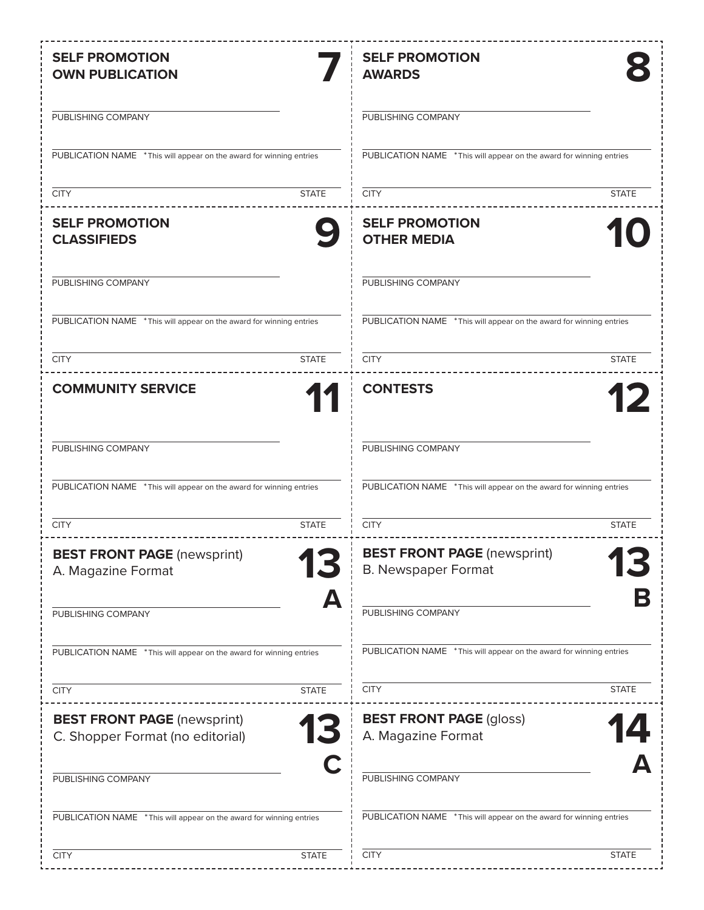| <b>SELF PROMOTION</b><br><b>OWN PUBLICATION</b>                              | <b>SELF PROMOTION</b><br><b>AWARDS</b>                               |
|------------------------------------------------------------------------------|----------------------------------------------------------------------|
| PUBLISHING COMPANY                                                           | PUBLISHING COMPANY                                                   |
| PUBLICATION NAME * This will appear on the award for winning entries         | PUBLICATION NAME * This will appear on the award for winning entries |
| <b>STATE</b><br><b>CITY</b>                                                  | <b>STATE</b><br><b>CITY</b>                                          |
| <b>SELF PROMOTION</b><br><b>CLASSIFIEDS</b>                                  | <b>SELF PROMOTION</b><br><b>OTHER MEDIA</b>                          |
| PUBLISHING COMPANY                                                           | PUBLISHING COMPANY                                                   |
| PUBLICATION NAME * This will appear on the award for winning entries         | PUBLICATION NAME * This will appear on the award for winning entries |
| <b>STATE</b><br><b>CITY</b>                                                  | <b>STATE</b><br><b>CITY</b>                                          |
| <b>COMMUNITY SERVICE</b>                                                     | <b>CONTESTS</b>                                                      |
| PUBLISHING COMPANY                                                           | PUBLISHING COMPANY                                                   |
| PUBLICATION NAME * This will appear on the award for winning entries         | PUBLICATION NAME * This will appear on the award for winning entries |
| <b>STATE</b><br><b>CITY</b>                                                  | <b>CITY</b><br><b>STATE</b>                                          |
| <b>BEST FRONT PAGE</b> (newsprint)<br>A. Magazine Format                     | <b>BEST FRONT PAGE (newsprint)</b><br><b>B. Newspaper Format</b>     |
| Δ<br>PUBLISHING COMPANY                                                      | PUBLISHING COMPANY                                                   |
| PUBLICATION NAME * This will appear on the award for winning entries         | PUBLICATION NAME * This will appear on the award for winning entries |
| <b>STATE</b><br><b>CITY</b>                                                  | <b>CITY</b><br><b>STATE</b>                                          |
| <b>BEST FRONT PAGE (newsprint)</b><br>13<br>C. Shopper Format (no editorial) | <b>BEST FRONT PAGE (gloss)</b><br>A. Magazine Format                 |
| PUBLISHING COMPANY                                                           | PUBLISHING COMPANY                                                   |
| PUBLICATION NAME * This will appear on the award for winning entries         | PUBLICATION NAME * This will appear on the award for winning entries |
| <b>CITY</b><br><b>STATE</b>                                                  | <b>CITY</b><br><b>STATE</b>                                          |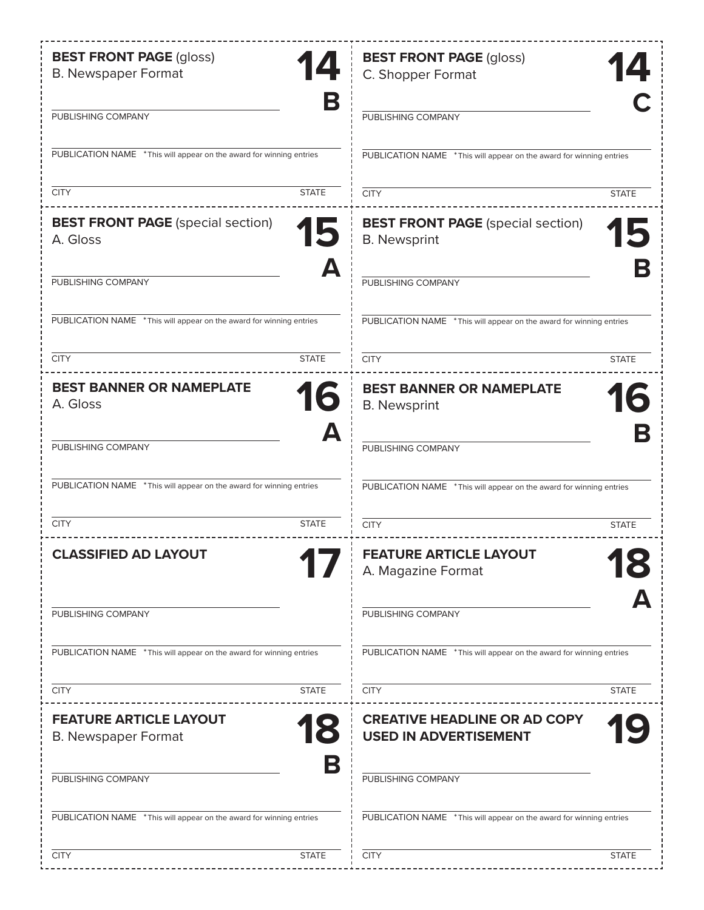| <b>BEST FRONT PAGE (gloss)</b><br>14<br><b>B. Newspaper Format</b>   | <b>BEST FRONT PAGE (gloss)</b><br>C. Shopper Format                  |
|----------------------------------------------------------------------|----------------------------------------------------------------------|
| В<br>PUBLISHING COMPANY                                              | PUBLISHING COMPANY                                                   |
| PUBLICATION NAME * This will appear on the award for winning entries | PUBLICATION NAME * This will appear on the award for winning entries |
| <b>CITY</b><br><b>STATE</b>                                          | <b>CITY</b><br><b>STATE</b>                                          |
| <b>BEST FRONT PAGE</b> (special section)<br>15<br>A. Gloss           | <b>BEST FRONT PAGE</b> (special section)<br><b>B.</b> Newsprint      |
| Д<br>PUBLISHING COMPANY                                              | PUBLISHING COMPANY                                                   |
| PUBLICATION NAME * This will appear on the award for winning entries | PUBLICATION NAME * This will appear on the award for winning entries |
| <b>CITY</b><br><b>STATE</b>                                          | <b>CITY</b><br><b>STATE</b>                                          |
| <b>BEST BANNER OR NAMEPLATE</b><br>16<br>A. Gloss                    | <b>BEST BANNER OR NAMEPLATE</b><br><b>B.</b> Newsprint               |
| Д<br>PUBLISHING COMPANY                                              | PUBLISHING COMPANY                                                   |
| PUBLICATION NAME * This will appear on the award for winning entries | PUBLICATION NAME * This will appear on the award for winning entries |
| <b>CITY</b><br><b>STATE</b>                                          | <b>CITY</b><br><b>STATE</b>                                          |
| <b>CLASSIFIED AD LAYOUT</b>                                          | <b>FEATURE ARTICLE LAYOUT</b><br>A. Magazine Format                  |
| PUBLISHING COMPANY                                                   | PUBLISHING COMPANY                                                   |
| PUBLICATION NAME * This will appear on the award for winning entries | PUBLICATION NAME * This will appear on the award for winning entries |
| <b>CITY</b><br><b>STATE</b>                                          | <b>CITY</b><br><b>STATE</b>                                          |
| <b>FEATURE ARTICLE LAYOUT</b><br><b>B. Newspaper Format</b>          | <b>CREATIVE HEADLINE OR AD COPY</b><br><b>USED IN ADVERTISEMENT</b>  |
| В<br>PUBLISHING COMPANY                                              | PUBLISHING COMPANY                                                   |
| PUBLICATION NAME * This will appear on the award for winning entries | PUBLICATION NAME * This will appear on the award for winning entries |
| <b>CITY</b><br><b>STATE</b>                                          | <b>CITY</b><br><b>STATE</b>                                          |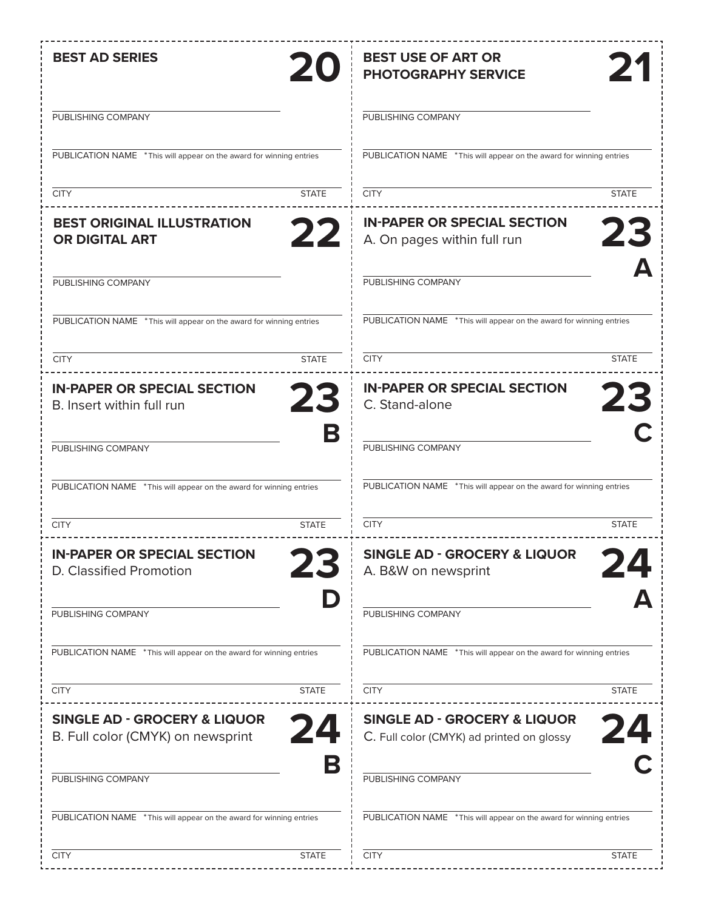| <b>BEST AD SERIES</b><br>20                                                  | <b>BEST USE OF ART OR</b><br>21<br><b>PHOTOGRAPHY SERVICE</b>                        |
|------------------------------------------------------------------------------|--------------------------------------------------------------------------------------|
| PUBLISHING COMPANY                                                           | PUBLISHING COMPANY                                                                   |
| PUBLICATION NAME * This will appear on the award for winning entries         | PUBLICATION NAME * This will appear on the award for winning entries                 |
| <b>STATE</b><br><b>CITY</b>                                                  | <b>CITY</b><br><b>STATE</b>                                                          |
| <b>BEST ORIGINAL ILLUSTRATION</b><br>22<br><b>OR DIGITAL ART</b>             | <b>IN-PAPER OR SPECIAL SECTION</b><br>23<br>A. On pages within full run              |
| PUBLISHING COMPANY                                                           | PUBLISHING COMPANY                                                                   |
| PUBLICATION NAME * This will appear on the award for winning entries         | PUBLICATION NAME * This will appear on the award for winning entries                 |
| <b>STATE</b><br><b>CITY</b>                                                  | <b>CITY</b><br><b>STATE</b>                                                          |
| <b>IN-PAPER OR SPECIAL SECTION</b><br>23<br>B. Insert within full run        | <b>IN-PAPER OR SPECIAL SECTION</b><br>23<br>C. Stand-alone                           |
| B<br>PUBLISHING COMPANY                                                      | PUBLISHING COMPANY                                                                   |
| PUBLICATION NAME * This will appear on the award for winning entries         | PUBLICATION NAME * This will appear on the award for winning entries                 |
| <b>CITY</b><br><b>STATE</b>                                                  | <b>CITY</b><br><b>STATE</b>                                                          |
| <b>IN-PAPER OR SPECIAL SECTION</b><br>D. Classified Promotion                | <b>SINGLE AD - GROCERY &amp; LIQUOR</b><br>A. B&W on newsprint                       |
| PUBLISHING COMPANY                                                           | PUBLISHING COMPANY                                                                   |
| PUBLICATION NAME * This will appear on the award for winning entries         | PUBLICATION NAME * This will appear on the award for winning entries                 |
| <b>STATE</b><br><b>CITY</b>                                                  | <b>CITY</b><br><b>STATE</b>                                                          |
| <b>SINGLE AD - GROCERY &amp; LIQUOR</b><br>B. Full color (CMYK) on newsprint | <b>SINGLE AD - GROCERY &amp; LIQUOR</b><br>C. Full color (CMYK) ad printed on glossy |
| В<br>PUBLISHING COMPANY                                                      | PUBLISHING COMPANY                                                                   |
| PUBLICATION NAME * This will appear on the award for winning entries         | PUBLICATION NAME * This will appear on the award for winning entries                 |
| <b>CITY</b><br><b>STATE</b>                                                  | <b>CITY</b><br><b>STATE</b>                                                          |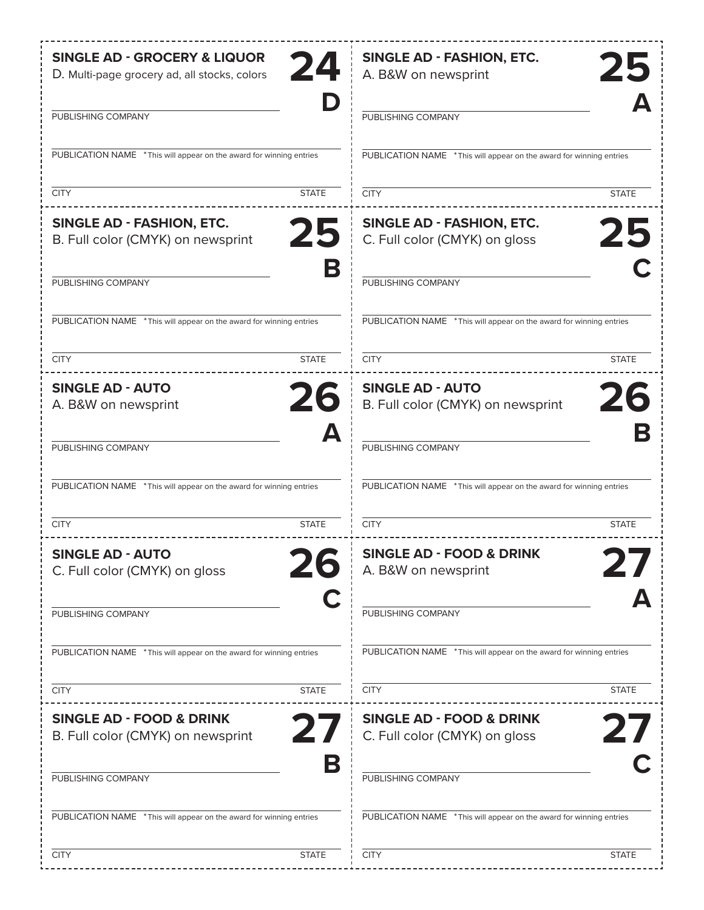| <b>SINGLE AD - GROCERY &amp; LIQUOR</b><br>24<br>D. Multi-page grocery ad, all stocks, colors | <b>SINGLE AD - FASHION, ETC.</b><br>25<br>A. B&W on newsprint           |
|-----------------------------------------------------------------------------------------------|-------------------------------------------------------------------------|
| PUBLISHING COMPANY                                                                            | PUBLISHING COMPANY                                                      |
| PUBLICATION NAME * This will appear on the award for winning entries                          | PUBLICATION NAME *This will appear on the award for winning entries     |
| <b>CITY</b><br><b>STATE</b>                                                                   | <b>CITY</b><br><b>STATE</b>                                             |
| <b>SINGLE AD - FASHION, ETC.</b><br>25<br>B. Full color (CMYK) on newsprint                   | <b>SINGLE AD - FASHION, ETC.</b><br>25<br>C. Full color (CMYK) on gloss |
| B<br>PUBLISHING COMPANY                                                                       | PUBLISHING COMPANY                                                      |
| PUBLICATION NAME * This will appear on the award for winning entries                          | PUBLICATION NAME * This will appear on the award for winning entries    |
| <b>CITY</b><br><b>STATE</b>                                                                   | <b>CITY</b><br><b>STATE</b>                                             |
| <b>SINGLE AD - AUTO</b><br>26                                                                 | <b>SINGLE AD - AUTO</b><br>26                                           |
| A. B&W on newsprint<br>Д                                                                      | B. Full color (CMYK) on newsprint                                       |
| PUBLISHING COMPANY                                                                            | PUBLISHING COMPANY                                                      |
| PUBLICATION NAME *This will appear on the award for winning entries                           | PUBLICATION NAME * This will appear on the award for winning entries    |
| <b>CITY</b><br><b>STATE</b>                                                                   | <b>CITY</b><br><b>STATE</b>                                             |
| <b>SINGLE AD - AUTO</b><br>C. Full color (CMYK) on gloss                                      | <b>SINGLE AD - FOOD &amp; DRINK</b><br>A. B&W on newsprint              |
| PUBLISHING COMPANY                                                                            | PUBLISHING COMPANY                                                      |
| PUBLICATION NAME * This will appear on the award for winning entries                          | PUBLICATION NAME * This will appear on the award for winning entries    |
| <b>CITY</b><br><b>STATE</b>                                                                   | <b>CITY</b><br><b>STATE</b>                                             |
| <b>SINGLE AD - FOOD &amp; DRINK</b><br>B. Full color (CMYK) on newsprint                      | <b>SINGLE AD - FOOD &amp; DRINK</b><br>C. Full color (CMYK) on gloss    |
| В<br>PUBLISHING COMPANY                                                                       | PUBLISHING COMPANY                                                      |
| PUBLICATION NAME * This will appear on the award for winning entries                          | PUBLICATION NAME * This will appear on the award for winning entries    |
| <b>CITY</b><br><b>STATE</b>                                                                   | <b>CITY</b><br><b>STATE</b>                                             |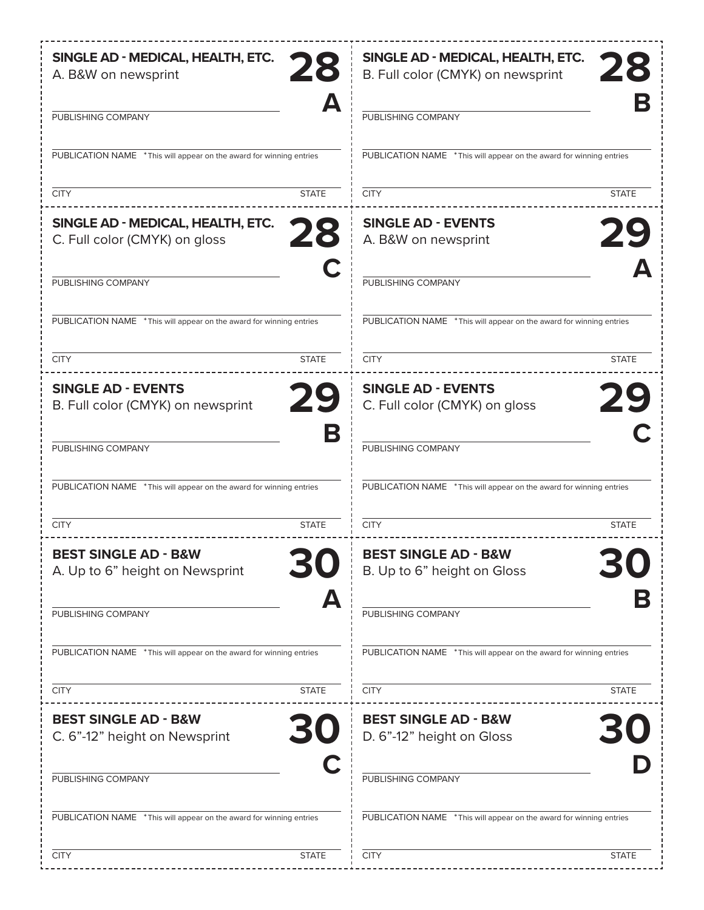| SINGLE AD - MEDICAL, HEALTH, ETC.<br>28<br>A. B&W on newsprint           | SINGLE AD - MEDICAL, HEALTH, ETC.<br>B. Full color (CMYK) on newsprint |
|--------------------------------------------------------------------------|------------------------------------------------------------------------|
| Д<br>PUBLISHING COMPANY                                                  | PUBLISHING COMPANY                                                     |
| PUBLICATION NAME * This will appear on the award for winning entries     | PUBLICATION NAME * This will appear on the award for winning entries   |
| <b>CITY</b><br><b>STATE</b>                                              | <b>CITY</b><br><b>STATE</b>                                            |
| SINGLE AD - MEDICAL, HEALTH, ETC.<br>28<br>C. Full color (CMYK) on gloss | <b>SINGLE AD - EVENTS</b><br>29<br>A. B&W on newsprint                 |
| PUBLISHING COMPANY                                                       | PUBLISHING COMPANY                                                     |
| PUBLICATION NAME * This will appear on the award for winning entries     | PUBLICATION NAME * This will appear on the award for winning entries   |
| <b>CITY</b><br><b>STATE</b>                                              | <b>CITY</b><br><b>STATE</b>                                            |
| <b>SINGLE AD - EVENTS</b><br>29<br>B. Full color (CMYK) on newsprint     | <b>SINGLE AD - EVENTS</b><br>29<br>C. Full color (CMYK) on gloss       |
| В<br>PUBLISHING COMPANY                                                  | PUBLISHING COMPANY                                                     |
| PUBLICATION NAME * This will appear on the award for winning entries     | PUBLICATION NAME * This will appear on the award for winning entries   |
| <b>CITY</b><br><b>STATE</b>                                              | <b>CITY</b><br><b>STATE</b>                                            |
| <b>REST SINGLE AD - R&amp;W</b><br>A. Up to 6" height on Newsprint       | <b>BEST SINGLE AD - B&amp;W</b><br>B. Up to 6" height on Gloss         |
| Д<br>PUBLISHING COMPANY                                                  | PUBLISHING COMPANY                                                     |
| PUBLICATION NAME * This will appear on the award for winning entries     | PUBLICATION NAME * This will appear on the award for winning entries   |
| <b>CITY</b><br><b>STATE</b>                                              | <b>CITY</b><br><b>STATE</b>                                            |
| <b>BEST SINGLE AD - B&amp;W</b><br>C. 6"-12" height on Newsprint         | <b>BEST SINGLE AD - B&amp;W</b><br>D. 6"-12" height on Gloss           |
| PUBLISHING COMPANY                                                       | PUBLISHING COMPANY                                                     |
| PUBLICATION NAME * This will appear on the award for winning entries     | PUBLICATION NAME * This will appear on the award for winning entries   |
| <b>CITY</b><br><b>STATE</b>                                              | <b>CITY</b><br><b>STATE</b>                                            |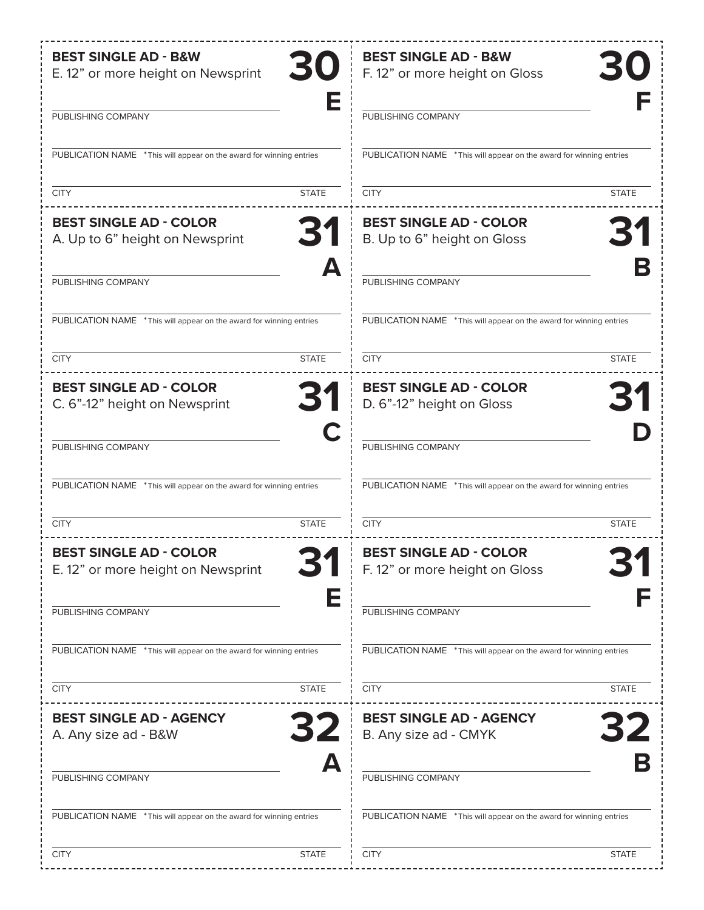| <b>BEST SINGLE AD - B&amp;W</b><br>30<br>E. 12" or more height on Newsprint | <b>BEST SINGLE AD - B&amp;W</b><br>F. 12" or more height on Gloss    |
|-----------------------------------------------------------------------------|----------------------------------------------------------------------|
| PUBLISHING COMPANY                                                          | PUBLISHING COMPANY                                                   |
| PUBLICATION NAME * This will appear on the award for winning entries        | PUBLICATION NAME * This will appear on the award for winning entries |
| <b>CITY</b><br><b>STATE</b>                                                 | <b>STATE</b><br><b>CITY</b>                                          |
| <b>BEST SINGLE AD - COLOR</b><br>31<br>A. Up to 6" height on Newsprint      | <b>BEST SINGLE AD - COLOR</b><br>B. Up to 6" height on Gloss         |
| А<br>PUBLISHING COMPANY                                                     | PUBLISHING COMPANY                                                   |
| PUBLICATION NAME * This will appear on the award for winning entries        | PUBLICATION NAME * This will appear on the award for winning entries |
| <b>STATE</b><br><b>CITY</b>                                                 | <b>CITY</b><br><b>STATE</b>                                          |
| <b>BEST SINGLE AD - COLOR</b><br>31<br>C. 6"-12" height on Newsprint        | <b>BEST SINGLE AD - COLOR</b><br>D. 6"-12" height on Gloss           |
| C<br>PUBLISHING COMPANY                                                     | PUBLISHING COMPANY                                                   |
| PUBLICATION NAME * This will appear on the award for winning entries        | PUBLICATION NAME * This will appear on the award for winning entries |
| <b>CITY</b><br><b>STATE</b>                                                 | <b>CITY</b><br><b>STATE</b>                                          |
| <b>BEST SINGLE AD - COLOR</b><br>E. 12" or more height on Newsprint         | <b>BEST SINGLE AD - COLOR</b><br>F. 12" or more height on Gloss      |
| Е<br>PUBLISHING COMPANY                                                     | PUBLISHING COMPANY                                                   |
| PUBLICATION NAME * This will appear on the award for winning entries        | PUBLICATION NAME *This will appear on the award for winning entries  |
| <b>CITY</b><br><b>STATE</b>                                                 | <b>CITY</b><br><b>STATE</b>                                          |
| <b>BEST SINGLE AD - AGENCY</b><br>A. Any size ad - B&W                      | <b>BEST SINGLE AD - AGENCY</b><br>B. Any size ad - CMYK              |
| PUBLISHING COMPANY                                                          | PUBLISHING COMPANY                                                   |
| PUBLICATION NAME * This will appear on the award for winning entries        | PUBLICATION NAME * This will appear on the award for winning entries |
| <b>CITY</b><br><b>STATE</b>                                                 | <b>CITY</b><br><b>STATE</b>                                          |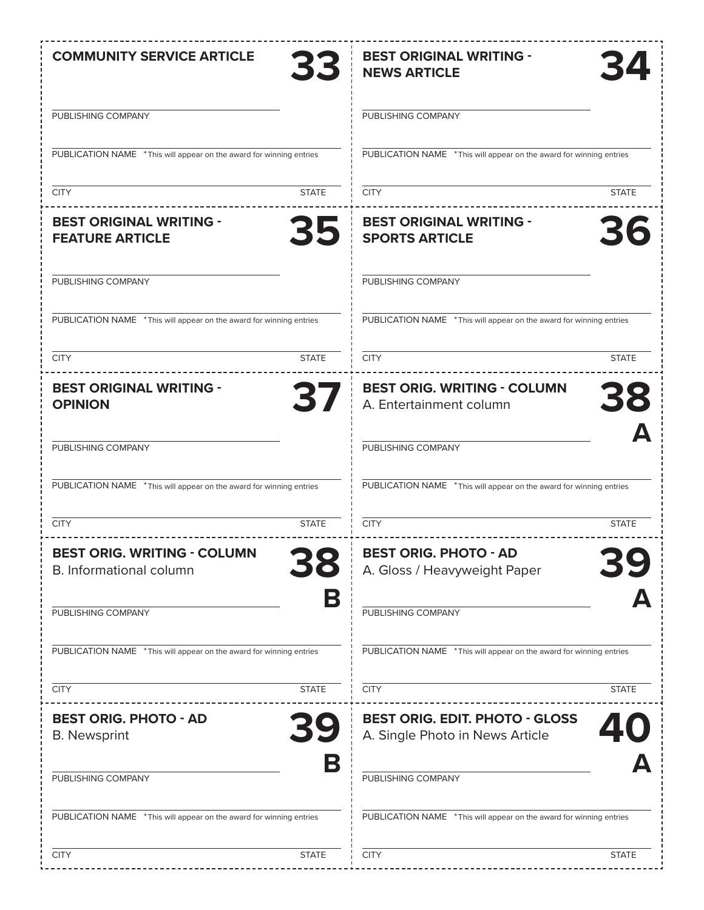| <b>COMMUNITY SERVICE ARTICLE</b>                                     | <b>BEST ORIGINAL WRITING -</b>                                       |
|----------------------------------------------------------------------|----------------------------------------------------------------------|
| 33                                                                   | <b>NEWS ARTICLE</b>                                                  |
| PUBLISHING COMPANY                                                   | PUBLISHING COMPANY                                                   |
| PUBLICATION NAME * This will appear on the award for winning entries | PUBLICATION NAME * This will appear on the award for winning entries |
| <b>STATE</b>                                                         | <b>CITY</b>                                                          |
| <b>CITY</b>                                                          | <b>STATE</b>                                                         |
| <b>BEST ORIGINAL WRITING -</b>                                       | <b>BEST ORIGINAL WRITING -</b>                                       |
| 35                                                                   | 36                                                                   |
| <b>FEATURE ARTICLE</b>                                               | <b>SPORTS ARTICLE</b>                                                |
| PUBLISHING COMPANY                                                   | PUBLISHING COMPANY                                                   |
| PUBLICATION NAME * This will appear on the award for winning entries | PUBLICATION NAME * This will appear on the award for winning entries |
| <b>STATE</b>                                                         | <b>CITY</b>                                                          |
| <b>CITY</b>                                                          | <b>STATE</b>                                                         |
| <b>BEST ORIGINAL WRITING -</b>                                       | <b>BEST ORIG. WRITING - COLUMN</b>                                   |
| 37                                                                   | 38                                                                   |
| <b>OPINION</b>                                                       | A. Entertainment column                                              |
| PUBLISHING COMPANY                                                   | PUBLISHING COMPANY                                                   |
| PUBLICATION NAME * This will appear on the award for winning entries | PUBLICATION NAME * This will appear on the award for winning entries |
| <b>CITY</b>                                                          | <b>CITY</b>                                                          |
| <b>STATE</b>                                                         | <b>STATE</b>                                                         |
| <b>REST ORIG, WRITING - COLUMN</b>                                   | <b>BEST ORIG. PHOTO - AD</b>                                         |
| <b>B.</b> Informational column                                       | A. Gloss / Heavyweight Paper                                         |
| B<br>PUBLISHING COMPANY                                              | PUBLISHING COMPANY                                                   |
| PUBLICATION NAME * This will appear on the award for winning entries | PUBLICATION NAME * This will appear on the award for winning entries |
| <b>CITY</b>                                                          | <b>CITY</b>                                                          |
| <b>STATE</b>                                                         | <b>STATE</b>                                                         |
| <b>BEST ORIG. PHOTO - AD</b>                                         | <b>BEST ORIG. EDIT. PHOTO - GLOSS</b>                                |
| <b>B.</b> Newsprint                                                  | A. Single Photo in News Article                                      |
| Б<br>PUBLISHING COMPANY                                              | PUBLISHING COMPANY                                                   |
| PUBLICATION NAME * This will appear on the award for winning entries | PUBLICATION NAME * This will appear on the award for winning entries |
| <b>CITY</b>                                                          | <b>CITY</b>                                                          |
| <b>STATE</b>                                                         | <b>STATE</b>                                                         |